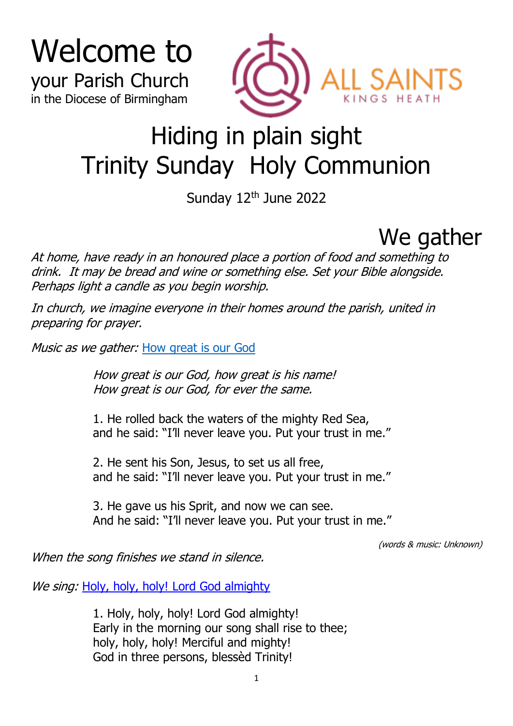Welcome to your Parish Church in the Diocese of Birmingham



# Hiding in plain sight Trinity Sunday Holy Communion

Sunday 12<sup>th</sup> June 2022

## We gather

At home, have ready in an honoured place a portion of food and something to drink. It may be bread and wine or something else. Set your Bible alongside. Perhaps light a candle as you begin worship.

In church, we imagine everyone in their homes around the parish, united in preparing for prayer.

Music as we gather: [How great is our God](https://soundcloud.com/all-saints-kings-heath/how-great-is-our-god?)

How great is our God, how great is his name! How great is our God, for ever the same.

1. He rolled back the waters of the mighty Red Sea, and he said: "I'll never leave you. Put your trust in me."

2. He sent his Son, Jesus, to set us all free, and he said: "I'll never leave you. Put your trust in me."

3. He gave us his Sprit, and now we can see. And he said: "I'll never leave you. Put your trust in me."

(words & music: Unknown)

When the song finishes we stand in silence.

We sing: [Holy, holy, holy! Lord God almighty](https://soundcloud.com/all-saints-kings-heath/holy-holy-holy-lord-god?)

1. Holy, holy, holy! Lord God almighty! Early in the morning our song shall rise to thee; holy, holy, holy! Merciful and mighty! God in three persons, blessèd Trinity!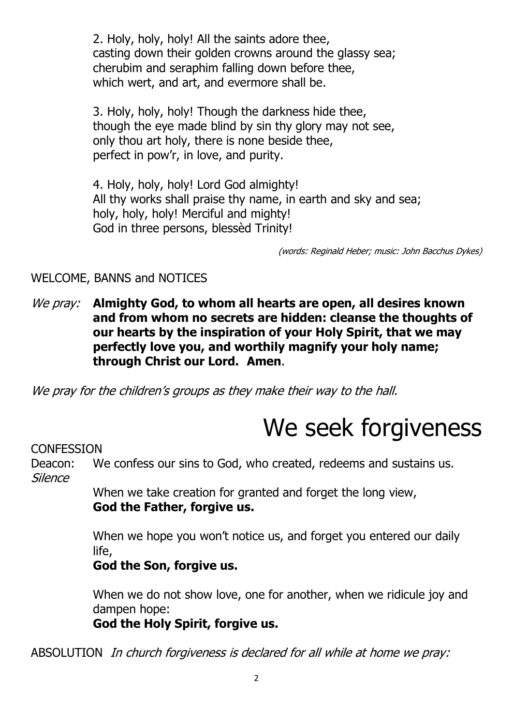2. Holy, holy, holy! All the saints adore thee, casting down their golden crowns around the glassy sea; cherubim and seraphim falling down before thee, which wert, and art, and evermore shall be.

3. Holy, holy, holy! Though the darkness hide thee, though the eye made blind by sin thy glory may not see, only thou art holy, there is none beside thee, perfect in pow'r, in love, and purity.

4. Holy, holy, holy! Lord God almighty! All thy works shall praise thy name, in earth and sky and sea; holy, holy, holy! Merciful and mighty! God in three persons, blessèd Trinity!

(words: Reginald Heber; music: John Bacchus Dykes)

#### WELCOME, BANNS and NOTICES

We pray: **Almighty God, to whom all hearts are open, all desires known and from whom no secrets are hidden: cleanse the thoughts of our hearts by the inspiration of your Holy Spirit, that we may perfectly love you, and worthily magnify your holy name; through Christ our Lord. Amen**.

We pray for the children's groups as they make their way to the hall.

## We seek forgiveness

**CONFESSION** 

Deacon: We confess our sins to God, who created, redeems and sustains us. Silence

> When we take creation for granted and forget the long view, **God the Father, forgive us.**

When we hope you won't notice us, and forget you entered our daily life,

#### **God the Son, forgive us.**

When we do not show love, one for another, when we ridicule joy and dampen hope:

**God the Holy Spirit, forgive us.**

ABSOLUTION In church forgiveness is declared for all while at home we pray: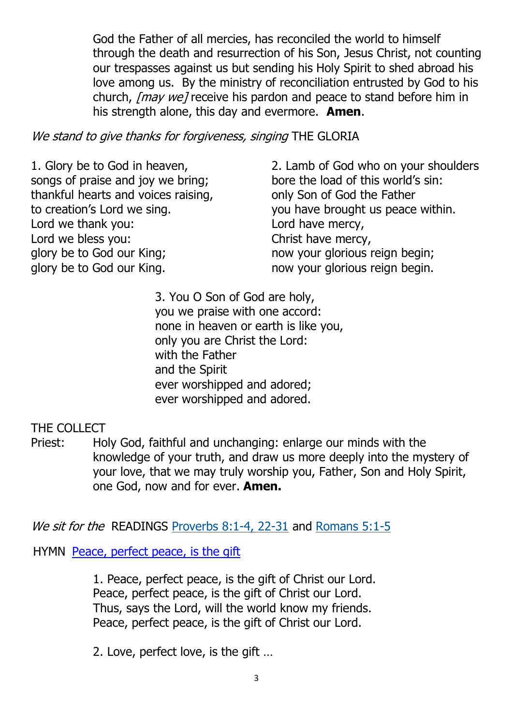God the Father of all mercies, has reconciled the world to himself through the death and resurrection of his Son, Jesus Christ, not counting our trespasses against us but sending his Holy Spirit to shed abroad his love among us. By the ministry of reconciliation entrusted by God to his church, *[may we]* receive his pardon and peace to stand before him in his strength alone, this day and evermore. **Amen**.

#### We stand to give thanks for forgiveness, singing THE GLORIA

1. Glory be to God in heaven, songs of praise and joy we bring; thankful hearts and voices raising, to creation's Lord we sing. Lord we thank you: Lord we bless you: glory be to God our King; glory be to God our King.

2. Lamb of God who on your shoulders bore the load of this world's sin: only Son of God the Father you have brought us peace within. Lord have mercy, Christ have mercy, now your glorious reign begin; now your glorious reign begin.

3. You O Son of God are holy, you we praise with one accord: none in heaven or earth is like you, only you are Christ the Lord: with the Father and the Spirit ever worshipped and adored; ever worshipped and adored.

## THE COLLECT

Priest: Holy God, faithful and unchanging: enlarge our minds with the knowledge of your truth, and draw us more deeply into the mystery of your love, that we may truly worship you, Father, Son and Holy Spirit, one God, now and for ever. **Amen.**

We sit for the READINGS [Proverbs 8:1-4, 22-31](https://www.biblegateway.com/passage/?search=Proverbs+8%3A1-4%2C+22-31&version=NRSVA) and [Romans 5:1-5](https://www.biblegateway.com/passage/?search=Romans+5%3A1-5&version=NRSVA)

HYMN [Peace, perfect peace, is the gift](https://soundcloud.com/all-saints-kings-heath/peace-perfect-peace?)

1. Peace, perfect peace, is the gift of Christ our Lord. Peace, perfect peace, is the gift of Christ our Lord. Thus, says the Lord, will the world know my friends. Peace, perfect peace, is the gift of Christ our Lord.

2. Love, perfect love, is the gift …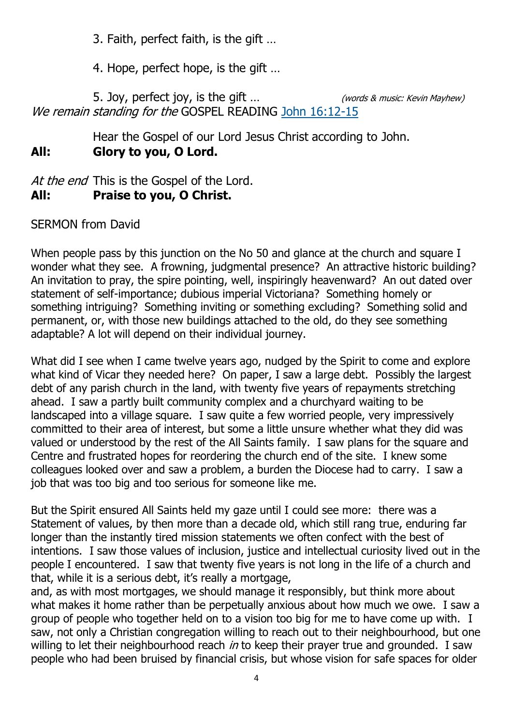3. Faith, perfect faith, is the gift …

4. Hope, perfect hope, is the gift …

5. Joy, perfect joy, is the gift ... *(words & music: Kevin Mayhew)* We remain standing for the GOSPEL READING [John 16:12-15](https://www.biblegateway.com/passage/?search=John+16%3A12-15&version=NRSVA)

Hear the Gospel of our Lord Jesus Christ according to John. **All: Glory to you, O Lord.**

At the end This is the Gospel of the Lord.

## **All: Praise to you, O Christ.**

## SERMON from David

When people pass by this junction on the No 50 and glance at the church and square I wonder what they see. A frowning, judgmental presence? An attractive historic building? An invitation to pray, the spire pointing, well, inspiringly heavenward? An out dated over statement of self-importance; dubious imperial Victoriana? Something homely or something intriguing? Something inviting or something excluding? Something solid and permanent, or, with those new buildings attached to the old, do they see something adaptable? A lot will depend on their individual journey.

What did I see when I came twelve years ago, nudged by the Spirit to come and explore what kind of Vicar they needed here? On paper, I saw a large debt. Possibly the largest debt of any parish church in the land, with twenty five years of repayments stretching ahead. I saw a partly built community complex and a churchyard waiting to be landscaped into a village square. I saw quite a few worried people, very impressively committed to their area of interest, but some a little unsure whether what they did was valued or understood by the rest of the All Saints family. I saw plans for the square and Centre and frustrated hopes for reordering the church end of the site. I knew some colleagues looked over and saw a problem, a burden the Diocese had to carry. I saw a job that was too big and too serious for someone like me.

But the Spirit ensured All Saints held my gaze until I could see more: there was a Statement of values, by then more than a decade old, which still rang true, enduring far longer than the instantly tired mission statements we often confect with the best of intentions. I saw those values of inclusion, justice and intellectual curiosity lived out in the people I encountered. I saw that twenty five years is not long in the life of a church and that, while it is a serious debt, it's really a mortgage,

and, as with most mortgages, we should manage it responsibly, but think more about what makes it home rather than be perpetually anxious about how much we owe. I saw a group of people who together held on to a vision too big for me to have come up with. I saw, not only a Christian congregation willing to reach out to their neighbourhood, but one willing to let their neighbourhood reach in to keep their prayer true and grounded. I saw people who had been bruised by financial crisis, but whose vision for safe spaces for older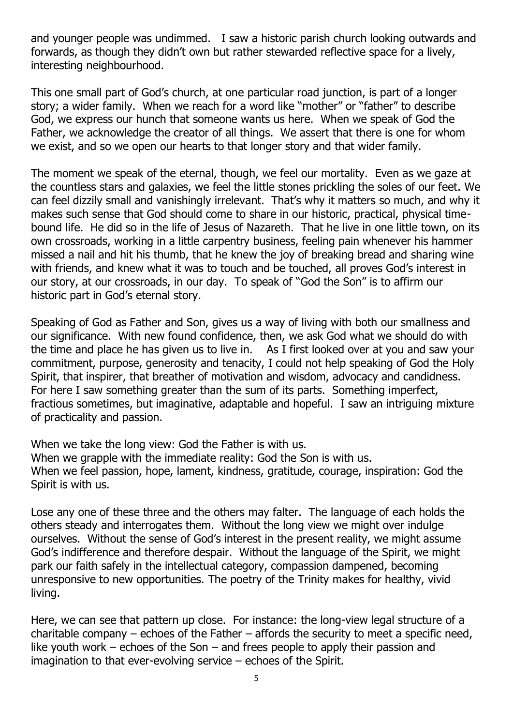and younger people was undimmed. I saw a historic parish church looking outwards and forwards, as though they didn't own but rather stewarded reflective space for a lively, interesting neighbourhood.

This one small part of God's church, at one particular road junction, is part of a longer story; a wider family. When we reach for a word like "mother" or "father" to describe God, we express our hunch that someone wants us here. When we speak of God the Father, we acknowledge the creator of all things. We assert that there is one for whom we exist, and so we open our hearts to that longer story and that wider family.

The moment we speak of the eternal, though, we feel our mortality. Even as we gaze at the countless stars and galaxies, we feel the little stones prickling the soles of our feet. We can feel dizzily small and vanishingly irrelevant. That's why it matters so much, and why it makes such sense that God should come to share in our historic, practical, physical timebound life. He did so in the life of Jesus of Nazareth. That he live in one little town, on its own crossroads, working in a little carpentry business, feeling pain whenever his hammer missed a nail and hit his thumb, that he knew the joy of breaking bread and sharing wine with friends, and knew what it was to touch and be touched, all proves God's interest in our story, at our crossroads, in our day. To speak of "God the Son" is to affirm our historic part in God's eternal story.

Speaking of God as Father and Son, gives us a way of living with both our smallness and our significance. With new found confidence, then, we ask God what we should do with the time and place he has given us to live in. As I first looked over at you and saw your commitment, purpose, generosity and tenacity, I could not help speaking of God the Holy Spirit, that inspirer, that breather of motivation and wisdom, advocacy and candidness. For here I saw something greater than the sum of its parts. Something imperfect, fractious sometimes, but imaginative, adaptable and hopeful. I saw an intriguing mixture of practicality and passion.

When we take the long view: God the Father is with us. When we grapple with the immediate reality: God the Son is with us. When we feel passion, hope, lament, kindness, gratitude, courage, inspiration: God the Spirit is with us.

Lose any one of these three and the others may falter. The language of each holds the others steady and interrogates them. Without the long view we might over indulge ourselves. Without the sense of God's interest in the present reality, we might assume God's indifference and therefore despair. Without the language of the Spirit, we might park our faith safely in the intellectual category, compassion dampened, becoming unresponsive to new opportunities. The poetry of the Trinity makes for healthy, vivid living.

Here, we can see that pattern up close. For instance: the long-view legal structure of a charitable company – echoes of the Father – affords the security to meet a specific need, like youth work – echoes of the Son – and frees people to apply their passion and imagination to that ever-evolving service – echoes of the Spirit.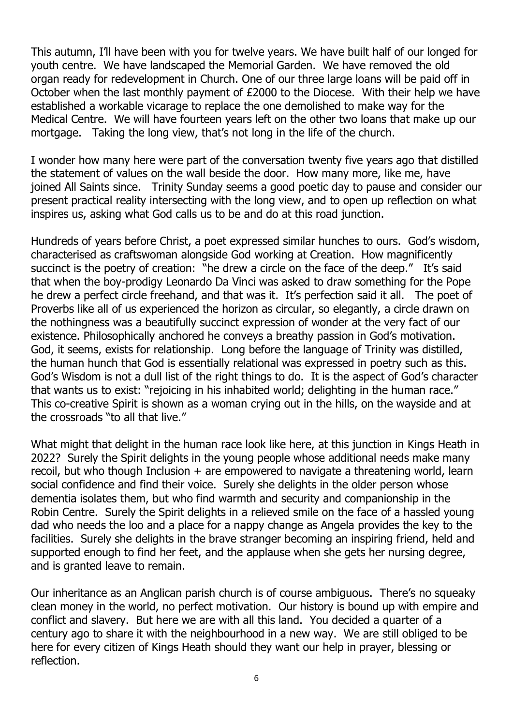This autumn, I'll have been with you for twelve years. We have built half of our longed for youth centre. We have landscaped the Memorial Garden. We have removed the old organ ready for redevelopment in Church. One of our three large loans will be paid off in October when the last monthly payment of £2000 to the Diocese. With their help we have established a workable vicarage to replace the one demolished to make way for the Medical Centre. We will have fourteen years left on the other two loans that make up our mortgage. Taking the long view, that's not long in the life of the church.

I wonder how many here were part of the conversation twenty five years ago that distilled the statement of values on the wall beside the door. How many more, like me, have joined All Saints since. Trinity Sunday seems a good poetic day to pause and consider our present practical reality intersecting with the long view, and to open up reflection on what inspires us, asking what God calls us to be and do at this road junction.

Hundreds of years before Christ, a poet expressed similar hunches to ours. God's wisdom, characterised as craftswoman alongside God working at Creation. How magnificently succinct is the poetry of creation: "he drew a circle on the face of the deep." It's said that when the boy-prodigy Leonardo Da Vinci was asked to draw something for the Pope he drew a perfect circle freehand, and that was it. It's perfection said it all. The poet of Proverbs like all of us experienced the horizon as circular, so elegantly, a circle drawn on the nothingness was a beautifully succinct expression of wonder at the very fact of our existence. Philosophically anchored he conveys a breathy passion in God's motivation. God, it seems, exists for relationship. Long before the language of Trinity was distilled, the human hunch that God is essentially relational was expressed in poetry such as this. God's Wisdom is not a dull list of the right things to do. It is the aspect of God's character that wants us to exist: "rejoicing in his inhabited world; delighting in the human race." This co-creative Spirit is shown as a woman crying out in the hills, on the wayside and at the crossroads "to all that live."

What might that delight in the human race look like here, at this junction in Kings Heath in 2022? Surely the Spirit delights in the young people whose additional needs make many recoil, but who though Inclusion + are empowered to navigate a threatening world, learn social confidence and find their voice. Surely she delights in the older person whose dementia isolates them, but who find warmth and security and companionship in the Robin Centre. Surely the Spirit delights in a relieved smile on the face of a hassled young dad who needs the loo and a place for a nappy change as Angela provides the key to the facilities. Surely she delights in the brave stranger becoming an inspiring friend, held and supported enough to find her feet, and the applause when she gets her nursing degree, and is granted leave to remain.

Our inheritance as an Anglican parish church is of course ambiguous. There's no squeaky clean money in the world, no perfect motivation. Our history is bound up with empire and conflict and slavery. But here we are with all this land. You decided a quarter of a century ago to share it with the neighbourhood in a new way. We are still obliged to be here for every citizen of Kings Heath should they want our help in prayer, blessing or reflection.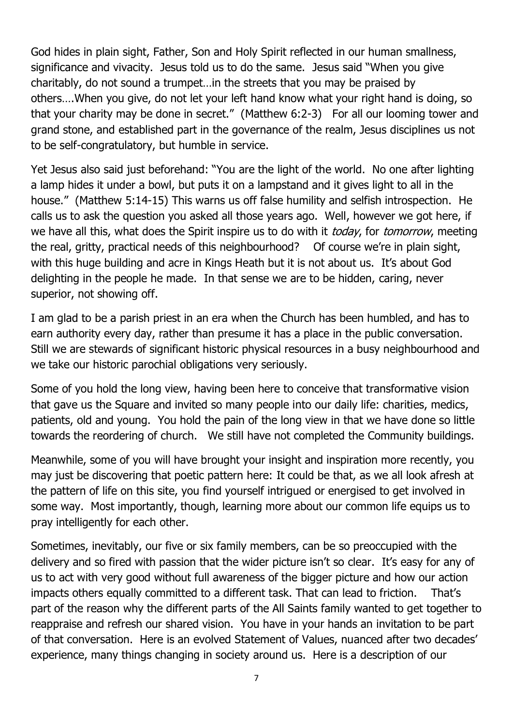God hides in plain sight, Father, Son and Holy Spirit reflected in our human smallness, significance and vivacity. Jesus told us to do the same. Jesus said "When you give charitably, do not sound a trumpet…in the streets that you may be praised by others….When you give, do not let your left hand know what your right hand is doing, so that your charity may be done in secret." (Matthew 6:2-3) For all our looming tower and grand stone, and established part in the governance of the realm, Jesus disciplines us not to be self-congratulatory, but humble in service.

Yet Jesus also said just beforehand: "You are the light of the world. No one after lighting a lamp hides it under a bowl, but puts it on a lampstand and it gives light to all in the house." (Matthew 5:14-15) This warns us off false humility and selfish introspection. He calls us to ask the question you asked all those years ago. Well, however we got here, if we have all this, what does the Spirit inspire us to do with it *today*, for *tomorrow*, meeting the real, gritty, practical needs of this neighbourhood? Of course we're in plain sight, with this huge building and acre in Kings Heath but it is not about us. It's about God delighting in the people he made. In that sense we are to be hidden, caring, never superior, not showing off.

I am glad to be a parish priest in an era when the Church has been humbled, and has to earn authority every day, rather than presume it has a place in the public conversation. Still we are stewards of significant historic physical resources in a busy neighbourhood and we take our historic parochial obligations very seriously.

Some of you hold the long view, having been here to conceive that transformative vision that gave us the Square and invited so many people into our daily life: charities, medics, patients, old and young. You hold the pain of the long view in that we have done so little towards the reordering of church. We still have not completed the Community buildings.

Meanwhile, some of you will have brought your insight and inspiration more recently, you may just be discovering that poetic pattern here: It could be that, as we all look afresh at the pattern of life on this site, you find yourself intrigued or energised to get involved in some way. Most importantly, though, learning more about our common life equips us to pray intelligently for each other.

Sometimes, inevitably, our five or six family members, can be so preoccupied with the delivery and so fired with passion that the wider picture isn't so clear. It's easy for any of us to act with very good without full awareness of the bigger picture and how our action impacts others equally committed to a different task. That can lead to friction. That's part of the reason why the different parts of the All Saints family wanted to get together to reappraise and refresh our shared vision. You have in your hands an invitation to be part of that conversation. Here is an evolved Statement of Values, nuanced after two decades' experience, many things changing in society around us. Here is a description of our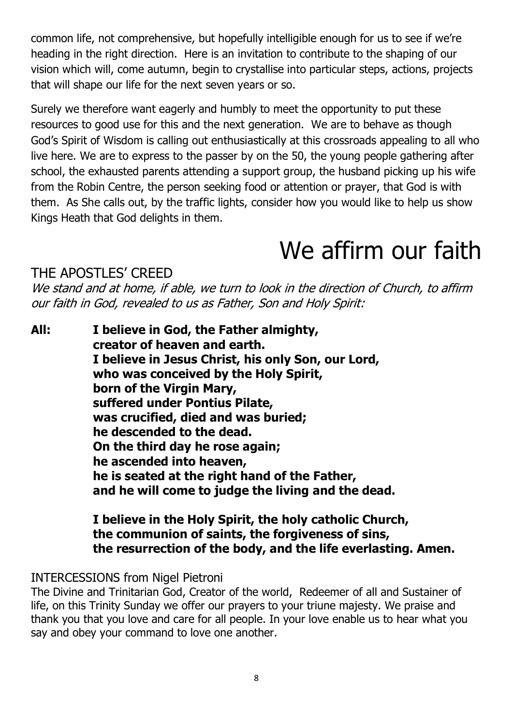common life, not comprehensive, but hopefully intelligible enough for us to see if we're heading in the right direction. Here is an invitation to contribute to the shaping of our vision which will, come autumn, begin to crystallise into particular steps, actions, projects that will shape our life for the next seven years or so.

Surely we therefore want eagerly and humbly to meet the opportunity to put these resources to good use for this and the next generation. We are to behave as though God's Spirit of Wisdom is calling out enthusiastically at this crossroads appealing to all who live here. We are to express to the passer by on the 50, the young people gathering after school, the exhausted parents attending a support group, the husband picking up his wife from the Robin Centre, the person seeking food or attention or prayer, that God is with them. As She calls out, by the traffic lights, consider how you would like to help us show Kings Heath that God delights in them.

## We affirm our faith

## THE APOSTLES' CREED

We stand and at home, if able, we turn to look in the direction of Church, to affirm our faith in God, revealed to us as Father, Son and Holy Spirit:

**All: I believe in God, the Father almighty, creator of heaven and earth. I believe in Jesus Christ, his only Son, our Lord, who was conceived by the Holy Spirit, born of the Virgin Mary, suffered under Pontius Pilate, was crucified, died and was buried; he descended to the dead. On the third day he rose again; he ascended into heaven, he is seated at the right hand of the Father, and he will come to judge the living and the dead.**

#### **I believe in the Holy Spirit, the holy catholic Church, the communion of saints, the forgiveness of sins, the resurrection of the body, and the life everlasting. Amen.**

INTERCESSIONS from Nigel Pietroni

The Divine and Trinitarian God, Creator of the world, Redeemer of all and Sustainer of life, on this Trinity Sunday we offer our prayers to your triune majesty. We praise and thank you that you love and care for all people. In your love enable us to hear what you say and obey your command to love one another.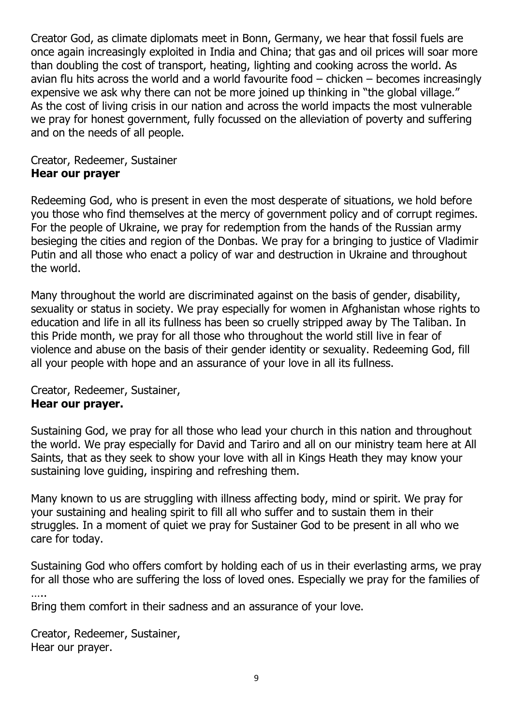Creator God, as climate diplomats meet in Bonn, Germany, we hear that fossil fuels are once again increasingly exploited in India and China; that gas and oil prices will soar more than doubling the cost of transport, heating, lighting and cooking across the world. As avian flu hits across the world and a world favourite food – chicken – becomes increasingly expensive we ask why there can not be more joined up thinking in "the global village." As the cost of living crisis in our nation and across the world impacts the most vulnerable we pray for honest government, fully focussed on the alleviation of poverty and suffering and on the needs of all people.

#### Creator, Redeemer, Sustainer **Hear our prayer**

Redeeming God, who is present in even the most desperate of situations, we hold before you those who find themselves at the mercy of government policy and of corrupt regimes. For the people of Ukraine, we pray for redemption from the hands of the Russian army besieging the cities and region of the Donbas. We pray for a bringing to justice of Vladimir Putin and all those who enact a policy of war and destruction in Ukraine and throughout the world.

Many throughout the world are discriminated against on the basis of gender, disability, sexuality or status in society. We pray especially for women in Afghanistan whose rights to education and life in all its fullness has been so cruelly stripped away by The Taliban. In this Pride month, we pray for all those who throughout the world still live in fear of violence and abuse on the basis of their gender identity or sexuality. Redeeming God, fill all your people with hope and an assurance of your love in all its fullness.

#### Creator, Redeemer, Sustainer, **Hear our prayer.**

Sustaining God, we pray for all those who lead your church in this nation and throughout the world. We pray especially for David and Tariro and all on our ministry team here at All Saints, that as they seek to show your love with all in Kings Heath they may know your sustaining love guiding, inspiring and refreshing them.

Many known to us are struggling with illness affecting body, mind or spirit. We pray for your sustaining and healing spirit to fill all who suffer and to sustain them in their struggles. In a moment of quiet we pray for Sustainer God to be present in all who we care for today.

Sustaining God who offers comfort by holding each of us in their everlasting arms, we pray for all those who are suffering the loss of loved ones. Especially we pray for the families of …..

Bring them comfort in their sadness and an assurance of your love.

Creator, Redeemer, Sustainer, Hear our prayer.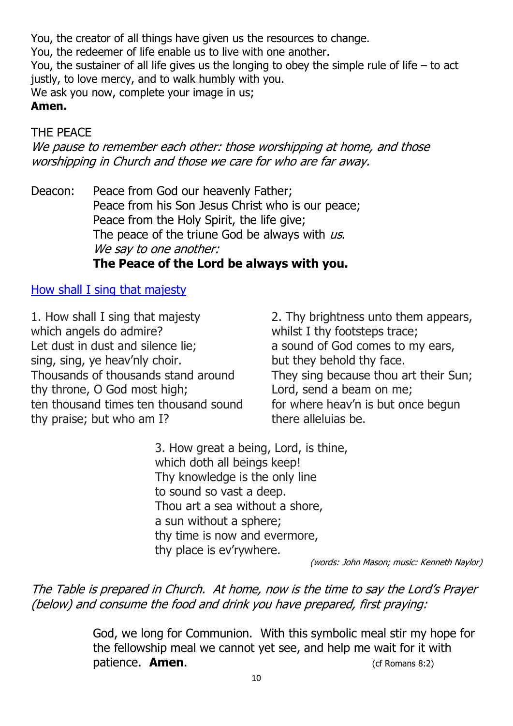You, the creator of all things have given us the resources to change.

You, the redeemer of life enable us to live with one another.

You, the sustainer of all life gives us the longing to obey the simple rule of life – to act justly, to love mercy, and to walk humbly with you.

We ask you now, complete your image in us;

### **Amen.**

## THE PEACE

We pause to remember each other: those worshipping at home, and those worshipping in Church and those we care for who are far away.

Deacon: Peace from God our heavenly Father; Peace from his Son Jesus Christ who is our peace; Peace from the Holy Spirit, the life give; The peace of the triune God be always with  $\mu s$ . We say to one another: **The Peace of the Lord be always with you.**

### [How shall I sing that majesty](https://soundcloud.com/all-saints-kings-heath/how-shall-i-sing-that-majesty?)

1. How shall I sing that majesty which angels do admire? Let dust in dust and silence lie; sing, sing, ye heav'nly choir. Thousands of thousands stand around thy throne, O God most high; ten thousand times ten thousand sound thy praise; but who am I?

2. Thy brightness unto them appears, whilst I thy footsteps trace; a sound of God comes to my ears, but they behold thy face. They sing because thou art their Sun; Lord, send a beam on me; for where heav'n is but once begun there alleluias be.

3. How great a being, Lord, is thine, which doth all beings keep! Thy knowledge is the only line to sound so vast a deep. Thou art a sea without a shore, a sun without a sphere; thy time is now and evermore, thy place is ev'rywhere.

(words: John Mason; music: Kenneth Naylor)

The Table is prepared in Church. At home, now is the time to say the Lord's Prayer (below) and consume the food and drink you have prepared, first praying:

> God, we long for Communion. With this symbolic meal stir my hope for the fellowship meal we cannot yet see, and help me wait for it with **patience. Amen.** (cf Romans 8:2)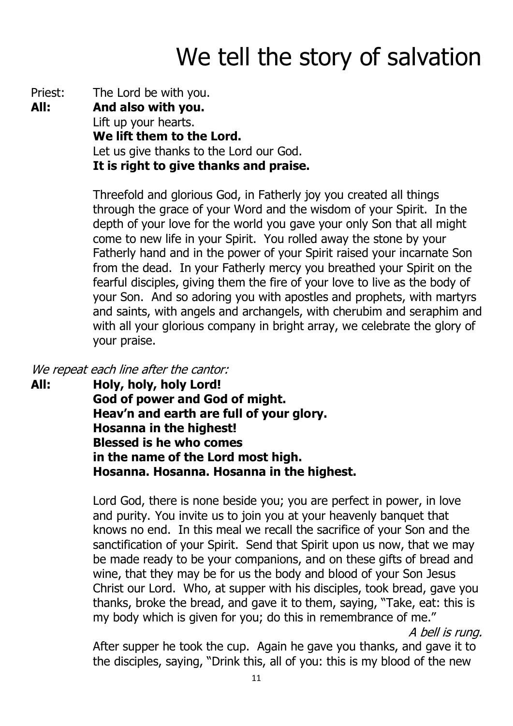# We tell the story of salvation

Priest: The Lord be with you.

**All: And also with you.** Lift up your hearts. **We lift them to the Lord.** Let us give thanks to the Lord our God. **It is right to give thanks and praise.**

> Threefold and glorious God, in Fatherly joy you created all things through the grace of your Word and the wisdom of your Spirit. In the depth of your love for the world you gave your only Son that all might come to new life in your Spirit. You rolled away the stone by your Fatherly hand and in the power of your Spirit raised your incarnate Son from the dead. In your Fatherly mercy you breathed your Spirit on the fearful disciples, giving them the fire of your love to live as the body of your Son. And so adoring you with apostles and prophets, with martyrs and saints, with angels and archangels, with cherubim and seraphim and with all your glorious company in bright array, we celebrate the glory of your praise.

#### We repeat each line after the cantor:

**All: Holy, holy, holy Lord! God of power and God of might. Heav'n and earth are full of your glory. Hosanna in the highest! Blessed is he who comes in the name of the Lord most high. Hosanna. Hosanna. Hosanna in the highest.**

> Lord God, there is none beside you; you are perfect in power, in love and purity. You invite us to join you at your heavenly banquet that knows no end. In this meal we recall the sacrifice of your Son and the sanctification of your Spirit. Send that Spirit upon us now, that we may be made ready to be your companions, and on these gifts of bread and wine, that they may be for us the body and blood of your Son Jesus Christ our Lord. Who, at supper with his disciples, took bread, gave you thanks, broke the bread, and gave it to them, saying, "Take, eat: this is my body which is given for you; do this in remembrance of me."

> > A bell is rung.

After supper he took the cup. Again he gave you thanks, and gave it to the disciples, saying, "Drink this, all of you: this is my blood of the new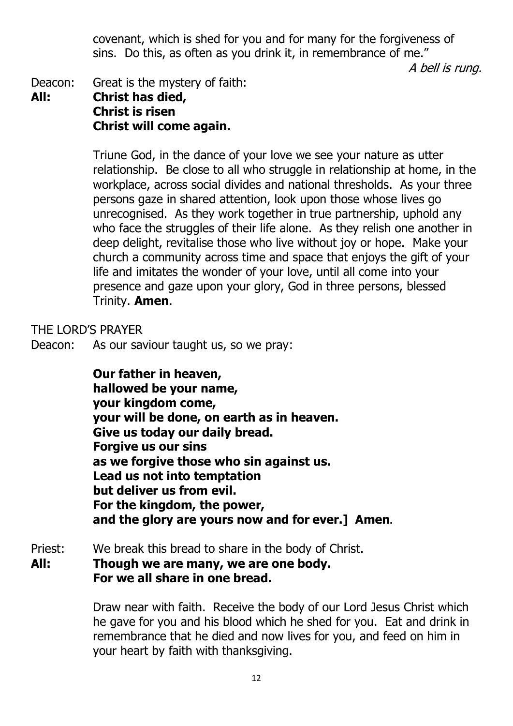covenant, which is shed for you and for many for the forgiveness of sins. Do this, as often as you drink it, in remembrance of me."

A bell is rung.

#### Deacon: Great is the mystery of faith: **All: Christ has died, Christ is risen Christ will come again.**

Triune God, in the dance of your love we see your nature as utter relationship. Be close to all who struggle in relationship at home, in the workplace, across social divides and national thresholds. As your three persons gaze in shared attention, look upon those whose lives go unrecognised. As they work together in true partnership, uphold any who face the struggles of their life alone. As they relish one another in deep delight, revitalise those who live without joy or hope. Make your church a community across time and space that enjoys the gift of your life and imitates the wonder of your love, until all come into your presence and gaze upon your glory, God in three persons, blessed Trinity. **Amen**.

#### THE LORD'S PRAYER

Deacon: As our saviour taught us, so we pray:

**Our father in heaven, hallowed be your name, your kingdom come, your will be done, on earth as in heaven. Give us today our daily bread. Forgive us our sins as we forgive those who sin against us. Lead us not into temptation but deliver us from evil. For the kingdom, the power, and the glory are yours now and for ever.] Amen.**

Priest: We break this bread to share in the body of Christ.

**All: Though we are many, we are one body. For we all share in one bread.**

> Draw near with faith. Receive the body of our Lord Jesus Christ which he gave for you and his blood which he shed for you. Eat and drink in remembrance that he died and now lives for you, and feed on him in your heart by faith with thanksgiving.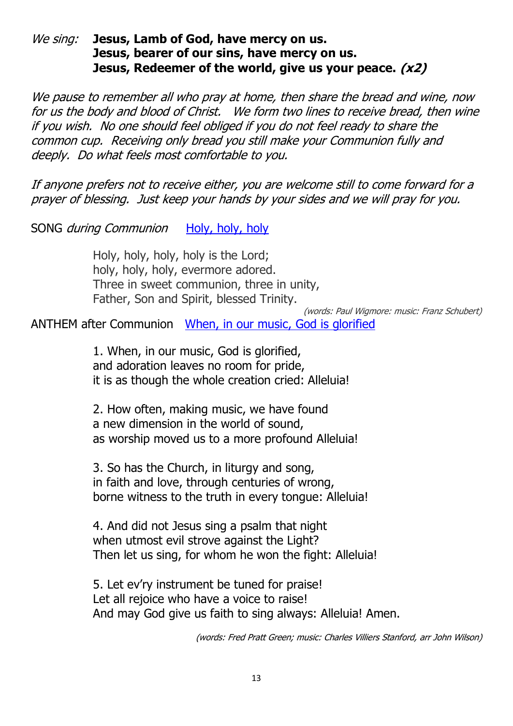We sing: **Jesus, Lamb of God, have mercy on us. Jesus, bearer of our sins, have mercy on us. Jesus, Redeemer of the world, give us your peace. (x2)**

We pause to remember all who pray at home, then share the bread and wine, now for us the body and blood of Christ. We form two lines to receive bread, then wine if you wish. No one should feel obliged if you do not feel ready to share the common cup. Receiving only bread you still make your Communion fully and deeply. Do what feels most comfortable to you.

If anyone prefers not to receive either, you are welcome still to come forward for a prayer of blessing. Just keep your hands by your sides and we will pray for you.

SONG *during Communion* [Holy,](https://soundcloud.com/all-saints-kings-heath/holy-holy-holy?) holy, holy

Holy, holy, holy, holy is the Lord; holy, holy, holy, evermore adored. Three in sweet communion, three in unity, Father, Son and Spirit, blessed Trinity.

(words: Paul Wigmore: music: Franz Schubert)

ANTHEM after Communion When, [in our music, God is glorified](https://soundcloud.com/all-saints-kings-heath/when-in-our-music-god-is?)

1. When, in our music, God is glorified, and adoration leaves no room for pride, it is as though the whole creation cried: Alleluia!

2. How often, making music, we have found a new dimension in the world of sound, as worship moved us to a more profound Alleluia!

3. So has the Church, in liturgy and song, in faith and love, through centuries of wrong, borne witness to the truth in every tongue: Alleluia!

4. And did not Jesus sing a psalm that night when utmost evil strove against the Light? Then let us sing, for whom he won the fight: Alleluia!

5. Let ev'ry instrument be tuned for praise! Let all rejoice who have a voice to raise! And may God give us faith to sing always: Alleluia! Amen.

(words: Fred Pratt Green; music: Charles Villiers Stanford, arr John Wilson)